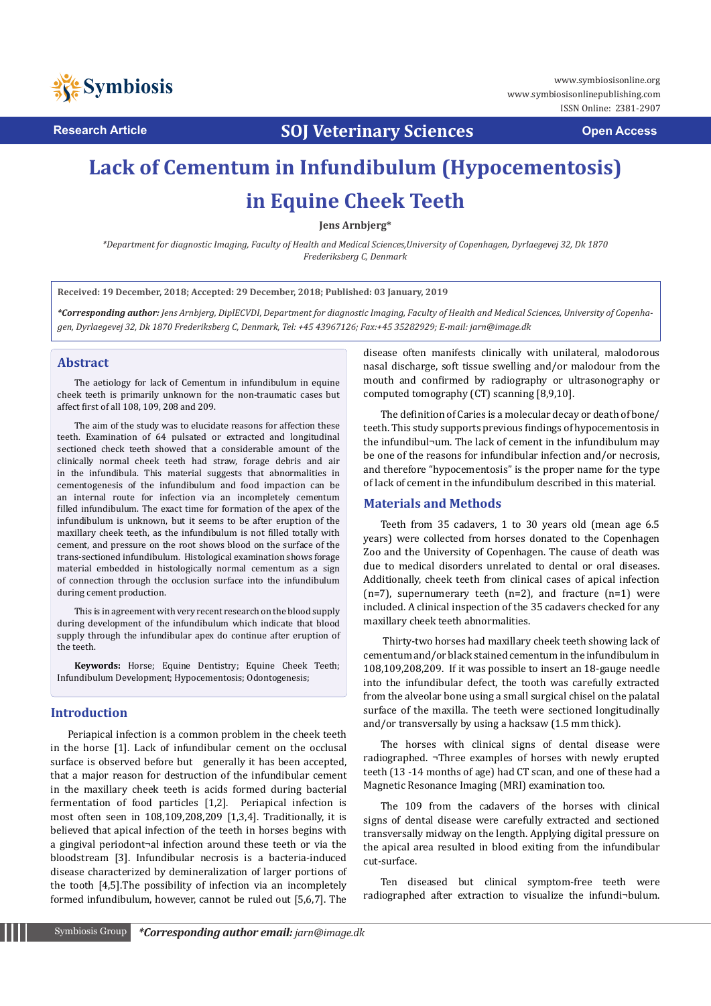

**Research Article SOJ Veterinary Sciences Open Access**

# **Lack of Cementum in Infundibulum (Hypocementosis) in Equine Cheek Teeth**

**Jens Arnbjerg\***

*\*Department for diagnostic Imaging, Faculty of Health and Medical Sciences,University of Copenhagen, Dyrlaegevej 32, Dk 1870 Frederiksberg C, Denmark*

**Received: 19 December, 2018; Accepted: 29 December, 2018; Published: 03 January, 2019**

*\*Corresponding author: Jens Arnbjerg, DiplECVDI, Department for diagnostic Imaging, Faculty of Health and Medical Sciences, University of Copenhagen, Dyrlaegevej 32, Dk 1870 Frederiksberg C, Denmark, Tel: +45 43967126; Fax:+45 35282929; E-mail: jarn@image.dk* 

#### **Abstract**

The aetiology for lack of Cementum in infundibulum in equine cheek teeth is primarily unknown for the non-traumatic cases but affect first of all 108, 109, 208 and 209.

The aim of the study was to elucidate reasons for affection these teeth. Examination of 64 pulsated or extracted and longitudinal sectioned check teeth showed that a considerable amount of the clinically normal cheek teeth had straw, forage debris and air in the infundibula. This material suggests that abnormalities in cementogenesis of the infundibulum and food impaction can be an internal route for infection via an incompletely cementum filled infundibulum. The exact time for formation of the apex of the infundibulum is unknown, but it seems to be after eruption of the maxillary cheek teeth, as the infundibulum is not filled totally with cement, and pressure on the root shows blood on the surface of the trans-sectioned infundibulum. Histological examination shows forage material embedded in histologically normal cementum as a sign of connection through the occlusion surface into the infundibulum during cement production.

This is in agreement with very recent research on the blood supply during development of the infundibulum which indicate that blood supply through the infundibular apex do continue after eruption of the teeth.

**Keywords:** Horse; Equine Dentistry; Equine Cheek Teeth; Infundibulum Development; Hypocementosis; Odontogenesis;

#### **Introduction**

Periapical infection is a common problem in the cheek teeth in the horse [1]. Lack of infundibular cement on the occlusal surface is observed before but generally it has been accepted, that a major reason for destruction of the infundibular cement in the maxillary cheek teeth is acids formed during bacterial fermentation of food particles [1,2]. Periapical infection is most often seen in 108,109,208,209 [1,3,4]. Traditionally, it is believed that apical infection of the teeth in horses begins with a gingival periodont¬al infection around these teeth or via the bloodstream [3]. Infundibular necrosis is a bacteria-induced disease characterized by demineralization of larger portions of the tooth [4,5].The possibility of infection via an incompletely formed infundibulum, however, cannot be ruled out [5,6,7]. The

disease often manifests clinically with unilateral, malodorous nasal discharge, soft tissue swelling and/or malodour from the mouth and confirmed by radiography or ultrasonography or computed tomography (CT) scanning [8,9,10].

The definition of Caries is a molecular decay or death of bone/ teeth. This study supports previous findings of hypocementosis in the infundibul¬um. The lack of cement in the infundibulum may be one of the reasons for infundibular infection and/or necrosis, and therefore "hypocementosis" is the proper name for the type of lack of cement in the infundibulum described in this material.

#### **Materials and Methods**

Teeth from 35 cadavers, 1 to 30 years old (mean age 6.5 years) were collected from horses donated to the Copenhagen Zoo and the University of Copenhagen. The cause of death was due to medical disorders unrelated to dental or oral diseases. Additionally, cheek teeth from clinical cases of apical infection  $(n=7)$ , supernumerary teeth  $(n=2)$ , and fracture  $(n=1)$  were included. A clinical inspection of the 35 cadavers checked for any maxillary cheek teeth abnormalities.

 Thirty-two horses had maxillary cheek teeth showing lack of cementum and/or black stained cementum in the infundibulum in 108,109,208,209. If it was possible to insert an 18-gauge needle into the infundibular defect, the tooth was carefully extracted from the alveolar bone using a small surgical chisel on the palatal surface of the maxilla. The teeth were sectioned longitudinally and/or transversally by using a hacksaw (1.5 mm thick).

The horses with clinical signs of dental disease were radiographed. ¬Three examples of horses with newly erupted teeth (13 -14 months of age) had CT scan, and one of these had a Magnetic Resonance Imaging (MRI) examination too.

The 109 from the cadavers of the horses with clinical signs of dental disease were carefully extracted and sectioned transversally midway on the length. Applying digital pressure on the apical area resulted in blood exiting from the infundibular cut-surface.

Ten diseased but clinical symptom-free teeth were radiographed after extraction to visualize the infundi¬bulum.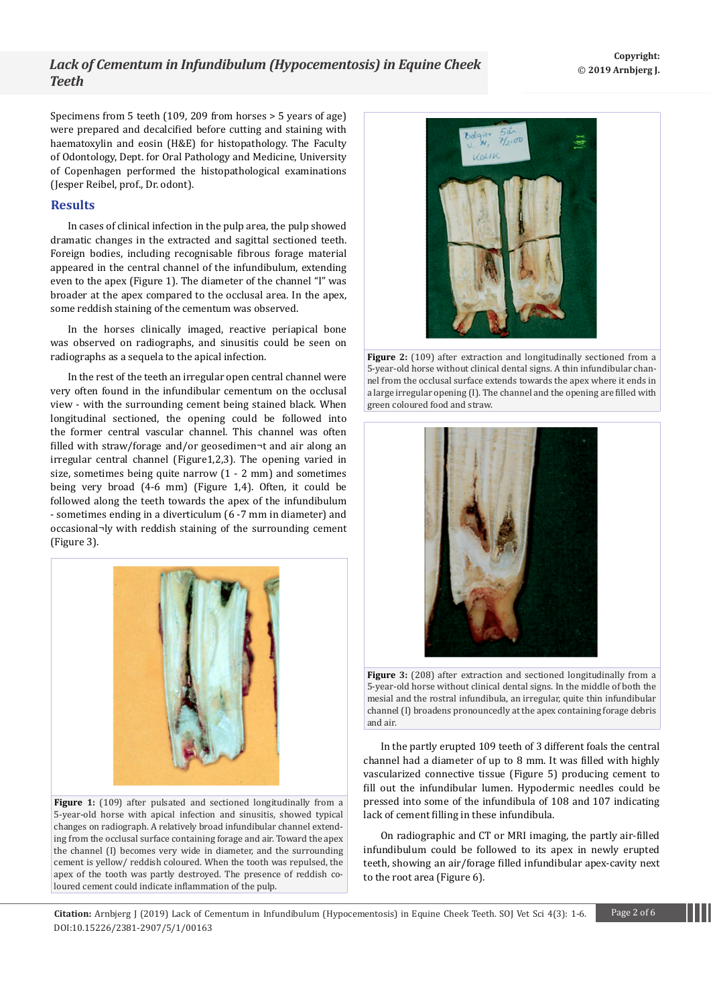## *Lack of Cementum in Infundibulum (Hypocementosis) in Equine Cheek Teeth*

Specimens from 5 teeth (109, 209 from horses > 5 years of age) were prepared and decalcified before cutting and staining with haematoxylin and eosin (H&E) for histopathology. The Faculty of Odontology, Dept. for Oral Pathology and Medicine, University of Copenhagen performed the histopathological examinations (Jesper Reibel, prof., Dr. odont).

#### **Results**

In cases of clinical infection in the pulp area, the pulp showed dramatic changes in the extracted and sagittal sectioned teeth. Foreign bodies, including recognisable fibrous forage material appeared in the central channel of the infundibulum, extending even to the apex (Figure 1). The diameter of the channel "I" was broader at the apex compared to the occlusal area. In the apex, some reddish staining of the cementum was observed.

In the horses clinically imaged, reactive periapical bone was observed on radiographs, and sinusitis could be seen on radiographs as a sequela to the apical infection.

In the rest of the teeth an irregular open central channel were very often found in the infundibular cementum on the occlusal view - with the surrounding cement being stained black. When longitudinal sectioned, the opening could be followed into the former central vascular channel. This channel was often filled with straw/forage and/or geosedimen¬t and air along an irregular central channel (Figure1,2,3). The opening varied in size, sometimes being quite narrow (1 - 2 mm) and sometimes being very broad (4-6 mm) (Figure 1,4). Often, it could be followed along the teeth towards the apex of the infundibulum - sometimes ending in a diverticulum (6 -7 mm in diameter) and occasional¬ly with reddish staining of the surrounding cement (Figure 3).



Figure 1: (109) after pulsated and sectioned longitudinally from a 5-year-old horse with apical infection and sinusitis, showed typical changes on radiograph. A relatively broad infundibular channel extending from the occlusal surface containing forage and air. Toward the apex the channel (I) becomes very wide in diameter, and the surrounding cement is yellow/ reddish coloured. When the tooth was repulsed, the apex of the tooth was partly destroyed. The presence of reddish coloured cement could indicate inflammation of the pulp.



**Figure 2:** (109) after extraction and longitudinally sectioned from a 5-year-old horse without clinical dental signs. A thin infundibular channel from the occlusal surface extends towards the apex where it ends in a large irregular opening (I). The channel and the opening are filled with green coloured food and straw.





In the partly erupted 109 teeth of 3 different foals the central channel had a diameter of up to 8 mm. It was filled with highly vascularized connective tissue (Figure 5) producing cement to fill out the infundibular lumen. Hypodermic needles could be pressed into some of the infundibula of 108 and 107 indicating lack of cement filling in these infundibula.

On radiographic and CT or MRI imaging, the partly air-filled infundibulum could be followed to its apex in newly erupted teeth, showing an air/forage filled infundibular apex-cavity next to the root area (Figure 6).

**Citation:** Arnbjerg J (2019) Lack of Cementum in Infundibulum (Hypocementosis) in Equine Cheek Teeth. SOJ Vet Sci 4(3): 1-6. Page 2 of 6 DOI:10.15226/2381-2907/5/1/00163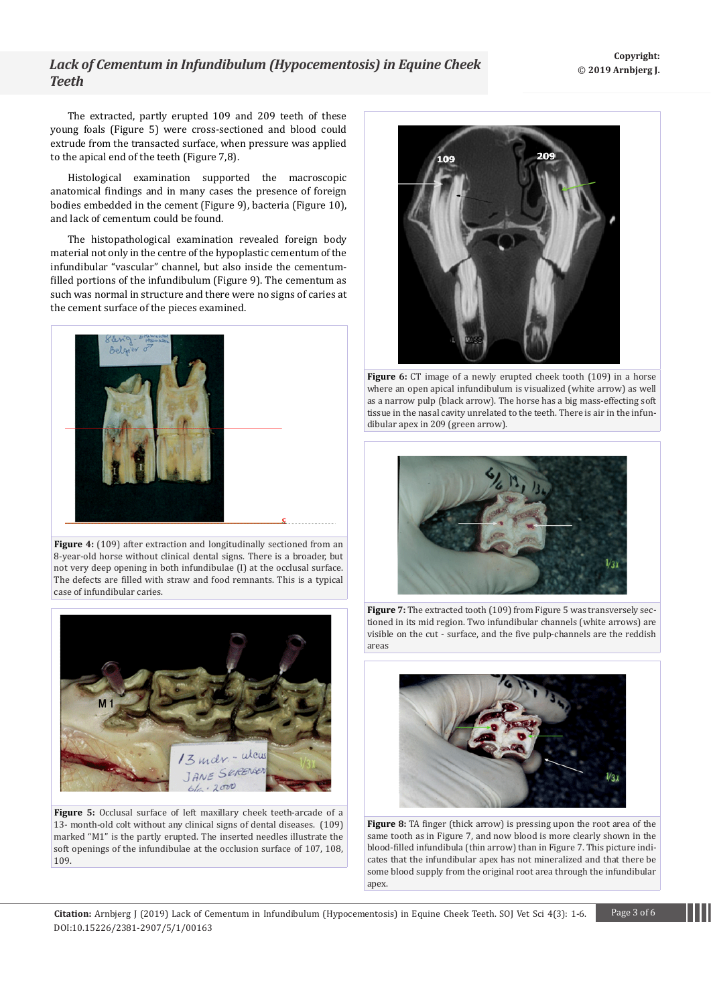## *Lack of Cementum in Infundibulum (Hypocementosis) in Equine Cheek Teeth*

The extracted, partly erupted 109 and 209 teeth of these young foals (Figure 5) were cross-sectioned and blood could extrude from the transacted surface, when pressure was applied to the apical end of the teeth (Figure 7,8).

Histological examination supported the macroscopic anatomical findings and in many cases the presence of foreign bodies embedded in the cement (Figure 9), bacteria (Figure 10), and lack of cementum could be found.

The histopathological examination revealed foreign body material not only in the centre of the hypoplastic cementum of the infundibular "vascular" channel, but also inside the cementumfilled portions of the infundibulum (Figure 9). The cementum as such was normal in structure and there were no signs of caries at the cement surface of the pieces examined.



**Figure 4:** (109) after extraction and longitudinally sectioned from an 8-year-old horse without clinical dental signs. There is a broader, but not very deep opening in both infundibulae (I) at the occlusal surface. The defects are filled with straw and food remnants. This is a typical case of infundibular caries.



**Figure 5:** Occlusal surface of left maxillary cheek teeth-arcade of a 13- month-old colt without any clinical signs of dental diseases. (109) marked "M1" is the partly erupted. The inserted needles illustrate the soft openings of the infundibulae at the occlusion surface of 107, 108, 109.



**Figure 6:** CT image of a newly erupted cheek tooth (109) in a horse where an open apical infundibulum is visualized (white arrow) as well as a narrow pulp (black arrow). The horse has a big mass-effecting soft tissue in the nasal cavity unrelated to the teeth. There is air in the infundibular apex in 209 (green arrow).



**Figure 7:** The extracted tooth (109) from Figure 5 was transversely sectioned in its mid region. Two infundibular channels (white arrows) are visible on the cut - surface, and the five pulp-channels are the reddish areas



**Figure 8:** TA finger (thick arrow) is pressing upon the root area of the same tooth as in Figure 7, and now blood is more clearly shown in the blood-filled infundibula (thin arrow) than in Figure 7. This picture indicates that the infundibular apex has not mineralized and that there be some blood supply from the original root area through the infundibular apex.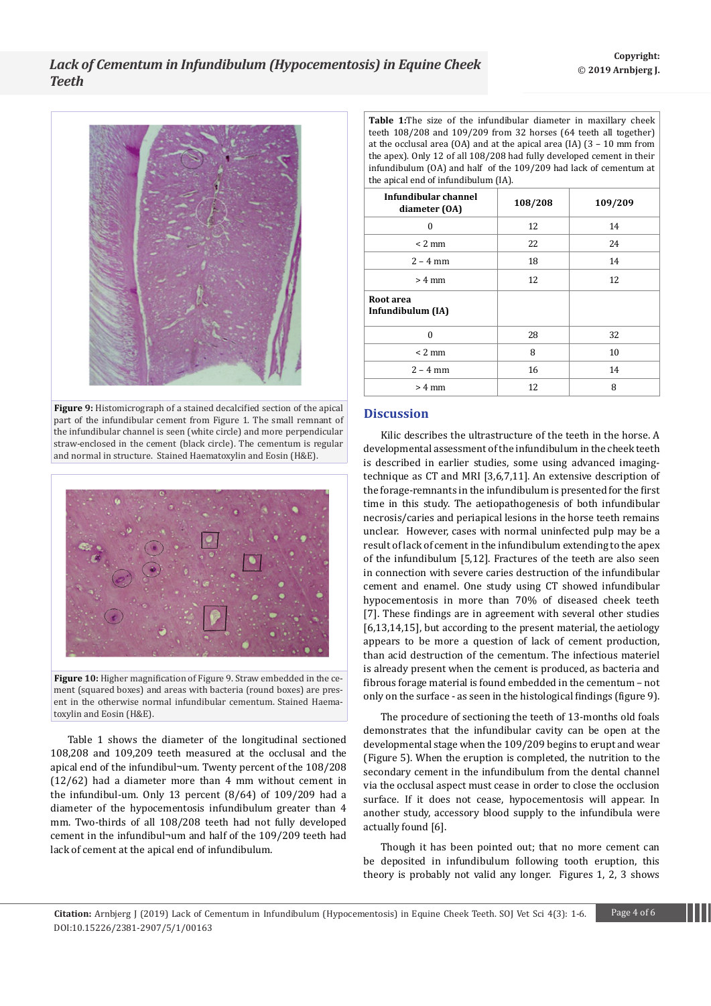

**Figure 9:** Histomicrograph of a stained decalcified section of the apical part of the infundibular cement from Figure 1. The small remnant of the infundibular channel is seen (white circle) and more perpendicular straw-enclosed in the cement (black circle). The cementum is regular and normal in structure. Stained Haematoxylin and Eosin (H&E).



**Figure 10:** Higher magnification of Figure 9. Straw embedded in the cement (squared boxes) and areas with bacteria (round boxes) are present in the otherwise normal infundibular cementum. Stained Haematoxylin and Eosin (H&E).

Table 1 shows the diameter of the longitudinal sectioned 108,208 and 109,209 teeth measured at the occlusal and the apical end of the infundibul¬um. Twenty percent of the 108/208 (12/62) had a diameter more than 4 mm without cement in the infundibul-um. Only 13 percent (8/64) of 109/209 had a diameter of the hypocementosis infundibulum greater than 4 mm. Two-thirds of all 108/208 teeth had not fully developed cement in the infundibul¬um and half of the 109/209 teeth had lack of cement at the apical end of infundibulum.

**Table 1:**The size of the infundibular diameter in maxillary cheek teeth 108/208 and 109/209 from 32 horses (64 teeth all together) at the occlusal area (OA) and at the apical area (IA) (3 – 10 mm from the apex). Only 12 of all 108/208 had fully developed cement in their infundibulum (OA) and half of the 109/209 had lack of cementum at the apical end of infundibulum (IA).

| Infundibular channel<br>diameter (OA) | 108/208 | 109/209 |
|---------------------------------------|---------|---------|
| $\theta$                              | 12      | 14      |
| $< 2$ mm                              | 22      | 24      |
| $2 - 4$ mm                            | 18      | 14      |
| $> 4$ mm                              | 12      | 12      |
| Root area<br>Infundibulum (IA)        |         |         |
| $\Omega$                              | 28      | 32      |
| $< 2$ mm                              | 8       | 10      |
| $2 - 4$ mm                            | 16      | 14      |
| $> 4$ mm                              | 12      | 8       |

### **Discussion**

Kilic describes the ultrastructure of the teeth in the horse. A developmental assessment of the infundibulum in the cheek teeth is described in earlier studies, some using advanced imagingtechnique as CT and MRI [3,6,7,11]. An extensive description of the forage-remnants in the infundibulum is presented for the first time in this study. The aetiopathogenesis of both infundibular necrosis/caries and periapical lesions in the horse teeth remains unclear. However, cases with normal uninfected pulp may be a result of lack of cement in the infundibulum extending to the apex of the infundibulum [5,12]. Fractures of the teeth are also seen in connection with severe caries destruction of the infundibular cement and enamel. One study using CT showed infundibular hypocementosis in more than 70% of diseased cheek teeth [7]. These findings are in agreement with several other studies [6,13,14,15], but according to the present material, the aetiology appears to be more a question of lack of cement production, than acid destruction of the cementum. The infectious materiel is already present when the cement is produced, as bacteria and fibrous forage material is found embedded in the cementum – not only on the surface - as seen in the histological findings (figure 9).

The procedure of sectioning the teeth of 13-months old foals demonstrates that the infundibular cavity can be open at the developmental stage when the 109/209 begins to erupt and wear (Figure 5). When the eruption is completed, the nutrition to the secondary cement in the infundibulum from the dental channel via the occlusal aspect must cease in order to close the occlusion surface. If it does not cease, hypocementosis will appear. In another study, accessory blood supply to the infundibula were actually found [6].

Though it has been pointed out; that no more cement can be deposited in infundibulum following tooth eruption, this theory is probably not valid any longer. Figures 1, 2, 3 shows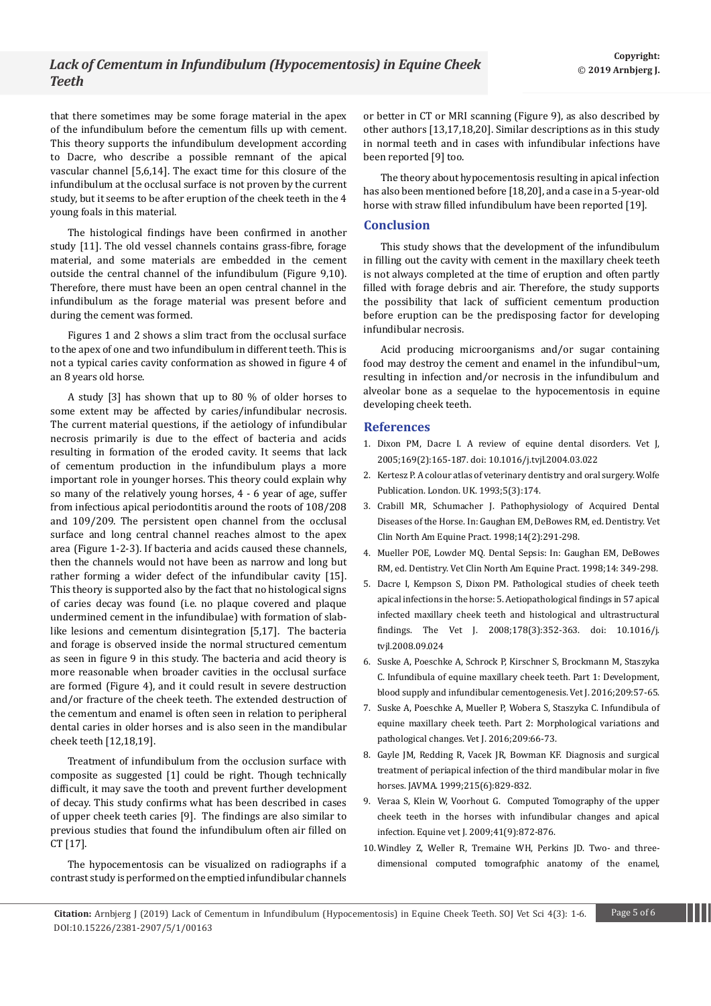that there sometimes may be some forage material in the apex of the infundibulum before the cementum fills up with cement. This theory supports the infundibulum development according to Dacre, who describe a possible remnant of the apical vascular channel [5,6,14]. The exact time for this closure of the infundibulum at the occlusal surface is not proven by the current study, but it seems to be after eruption of the cheek teeth in the 4 young foals in this material.

The histological findings have been confirmed in another study [11]. The old vessel channels contains grass-fibre, forage material, and some materials are embedded in the cement outside the central channel of the infundibulum (Figure 9,10). Therefore, there must have been an open central channel in the infundibulum as the forage material was present before and during the cement was formed.

Figures 1 and 2 shows a slim tract from the occlusal surface to the apex of one and two infundibulum in different teeth. This is not a typical caries cavity conformation as showed in figure 4 of an 8 years old horse.

A study [3] has shown that up to 80 % of older horses to some extent may be affected by caries/infundibular necrosis. The current material questions, if the aetiology of infundibular necrosis primarily is due to the effect of bacteria and acids resulting in formation of the eroded cavity. It seems that lack of cementum production in the infundibulum plays a more important role in younger horses. This theory could explain why so many of the relatively young horses, 4 - 6 year of age, suffer from infectious apical periodontitis around the roots of 108/208 and 109/209. The persistent open channel from the occlusal surface and long central channel reaches almost to the apex area (Figure 1-2-3). If bacteria and acids caused these channels, then the channels would not have been as narrow and long but rather forming a wider defect of the infundibular cavity [15]. This theory is supported also by the fact that no histological signs of caries decay was found (i.e. no plaque covered and plaque undermined cement in the infundibulae) with formation of slablike lesions and cementum disintegration [5,17]. The bacteria and forage is observed inside the normal structured cementum as seen in figure 9 in this study. The bacteria and acid theory is more reasonable when broader cavities in the occlusal surface are formed (Figure 4), and it could result in severe destruction and/or fracture of the cheek teeth. The extended destruction of the cementum and enamel is often seen in relation to peripheral dental caries in older horses and is also seen in the mandibular cheek teeth [12,18,19].

Treatment of infundibulum from the occlusion surface with composite as suggested [1] could be right. Though technically difficult, it may save the tooth and prevent further development of decay. This study confirms what has been described in cases of upper cheek teeth caries [9]. The findings are also similar to previous studies that found the infundibulum often air filled on CT [17].

The hypocementosis can be visualized on radiographs if a contrast study is performed on the emptied infundibular channels or better in CT or MRI scanning (Figure 9), as also described by other authors [13,17,18,20]. Similar descriptions as in this study in normal teeth and in cases with infundibular infections have been reported [9] too.

The theory about hypocementosis resulting in apical infection has also been mentioned before [18,20], and a case in a 5-year-old horse with straw filled infundibulum have been reported [19].

#### **Conclusion**

This study shows that the development of the infundibulum in filling out the cavity with cement in the maxillary cheek teeth is not always completed at the time of eruption and often partly filled with forage debris and air. Therefore, the study supports the possibility that lack of sufficient cementum production before eruption can be the predisposing factor for developing infundibular necrosis.

Acid producing microorganisms and/or sugar containing food may destroy the cement and enamel in the infundibul¬um, resulting in infection and/or necrosis in the infundibulum and alveolar bone as a sequelae to the hypocementosis in equine developing cheek teeth.

#### **References**

- 1. [Dixon PM, Dacre I. A review of equine dental disorders. Vet J,](https://www.ncbi.nlm.nih.gov/pubmed/15727909)  [2005;169\(2\):165-187. doi: 10.1016/j.tvjl.2004.03.022](https://www.ncbi.nlm.nih.gov/pubmed/15727909)
- 2. [Kertesz P. A colour atlas of veterinary dentistry and oral surgery. Wolfe](https://onlinelibrary.wiley.com/doi/abs/10.1111/j.2042-3292.1993.tb01033.x)  [Publication. London. UK. 1993;5\(3\):174.](https://onlinelibrary.wiley.com/doi/abs/10.1111/j.2042-3292.1993.tb01033.x)
- 3. [Crabill MR, Schumacher J. Pathophysiology of Acquired Dental](https://www.sciencedirect.com/science/article/pii/S0749073917301992)  [Diseases of the Horse. In: Gaughan EM, DeBowes RM, ed. Dentistry. Vet](https://www.sciencedirect.com/science/article/pii/S0749073917301992)  [Clin North Am Equine Pract. 1998;14\(2\):291-298.](https://www.sciencedirect.com/science/article/pii/S0749073917301992)
- 4. Mueller POE, Lowder MQ. Dental Sepsis: In: Gaughan EM, DeBowes RM, ed. Dentistry. Vet Clin North Am Equine Pract. 1998;14: 349-298.
- 5. [Dacre I, Kempson S, Dixon PM. Pathological studies of cheek teeth](https://www.ncbi.nlm.nih.gov/pubmed/19022689)  [apical infections in the horse: 5. Aetiopathological findings in 57 apical](https://www.ncbi.nlm.nih.gov/pubmed/19022689)  [infected maxillary cheek teeth and histological and ultrastructural](https://www.ncbi.nlm.nih.gov/pubmed/19022689)  [findings. The Vet J. 2008;178\(3\):352-363. doi: 10.1016/j.](https://www.ncbi.nlm.nih.gov/pubmed/19022689) [tvjl.2008.09.024](https://www.ncbi.nlm.nih.gov/pubmed/19022689)
- 6. [Suske A, Poeschke A, Schrock P, Kirschner S, Brockmann M, Staszyka](https://www.sciencedirect.com/science/article/pii/S1090023315003202)  [C. Infundibula of equine maxillary cheek teeth. Part 1: Development,](https://www.sciencedirect.com/science/article/pii/S1090023315003202)  [blood supply and infundibular cementogenesis. Vet J. 2016;209:57-65.](https://www.sciencedirect.com/science/article/pii/S1090023315003202)
- 7. [Suske A, Poeschke A, Mueller P, Wobera S, Staszyka C. Infundibula of](https://www.sciencedirect.com/science/article/pii/S1090023315005171)  [equine maxillary cheek teeth. Part 2: Morphological variations and](https://www.sciencedirect.com/science/article/pii/S1090023315005171)  [pathological changes. Vet J. 2016;209:66-73.](https://www.sciencedirect.com/science/article/pii/S1090023315005171)
- 8. [Gayle JM, Redding R, Vacek JR, Bowman KF. Diagnosis and surgical](https://europepmc.org/abstract/med/10496139)  [treatment of periapical infection of the third mandibular molar in five](https://europepmc.org/abstract/med/10496139)  [horses. JAVMA. 1999;215\(6\):829-832.](https://europepmc.org/abstract/med/10496139)
- 9. [Veraa S, Klein W, Voorhout G. Computed Tomography of the upper](https://onlinelibrary.wiley.com/doi/abs/10.2746/042516409X452143)  [cheek teeth in the horses with infundibular changes and apical](https://onlinelibrary.wiley.com/doi/abs/10.2746/042516409X452143)  [infection. Equine vet J. 2009;41\(9\):872-876.](https://onlinelibrary.wiley.com/doi/abs/10.2746/042516409X452143)
- 10.[Windley Z, Weller R, Tremaine WH, Perkins JD. Two- and three](https://onlinelibrary.wiley.com/doi/abs/10.2746/042516409X390214)[dimensional computed tomografphic anatomy of the enamel,](https://onlinelibrary.wiley.com/doi/abs/10.2746/042516409X390214)